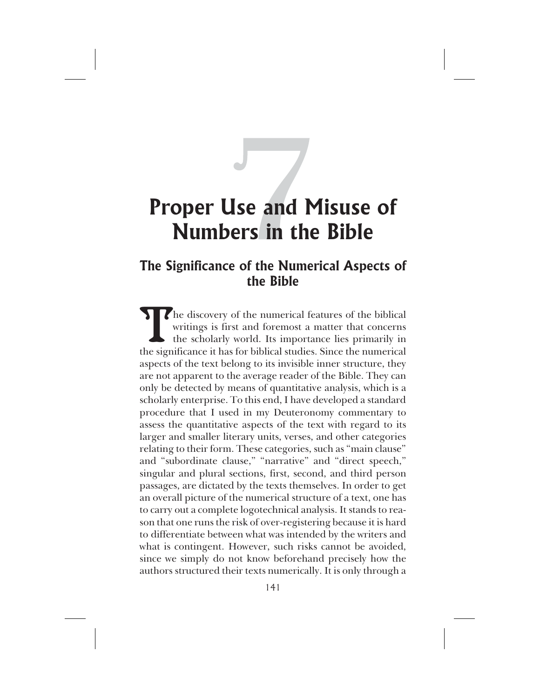# **Proper Use and Misuse of Numbers in the Bible**

## **The Significance of the Numerical Aspects of the Bible**

The discovery of the numerical features of the biblical writings is first and foremost a matter that concerns the scholarly world. Its importance lies primarily in the significance it has for biblical studies. Since the numerical aspects of the text belong to its invisible inner structure, they are not apparent to the average reader of the Bible. They can only be detected by means of quantitative analysis, which is a scholarly enterprise. To this end, I have developed a standard procedure that I used in my Deuteronomy commentary to assess the quantitative aspects of the text with regard to its larger and smaller literary units, verses, and other categories relating to their form. These categories, such as "main clause" and "subordinate clause," "narrative" and "direct speech," singular and plural sections, first, second, and third person passages, are dictated by the texts themselves. In order to get an overall picture of the numerical structure of a text, one has to carry out a complete logotechnical analysis. It stands to reason that one runs the risk of over-registering because it is hard to differentiate between what was intended by the writers and what is contingent. However, such risks cannot be avoided, since we simply do not know beforehand precisely how the authors structured their texts numerically. It is only through a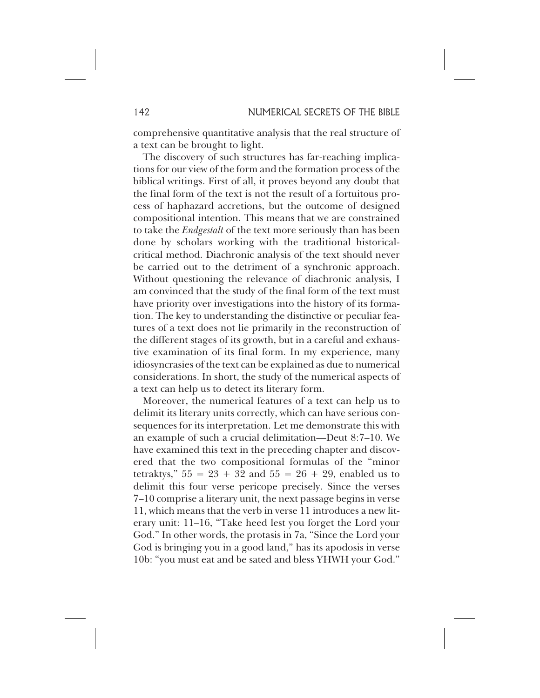comprehensive quantitative analysis that the real structure of a text can be brought to light.

The discovery of such structures has far-reaching implications for our view of the form and the formation process of the biblical writings. First of all, it proves beyond any doubt that the final form of the text is not the result of a fortuitous process of haphazard accretions, but the outcome of designed compositional intention. This means that we are constrained to take the *Endgestalt* of the text more seriously than has been done by scholars working with the traditional historicalcritical method. Diachronic analysis of the text should never be carried out to the detriment of a synchronic approach. Without questioning the relevance of diachronic analysis, I am convinced that the study of the final form of the text must have priority over investigations into the history of its formation. The key to understanding the distinctive or peculiar features of a text does not lie primarily in the reconstruction of the different stages of its growth, but in a careful and exhaustive examination of its final form. In my experience, many idiosyncrasies of the text can be explained as due to numerical considerations. In short, the study of the numerical aspects of a text can help us to detect its literary form.

Moreover, the numerical features of a text can help us to delimit its literary units correctly, which can have serious consequences for its interpretation. Let me demonstrate this with an example of such a crucial delimitation—Deut 8:7–10. We have examined this text in the preceding chapter and discovered that the two compositional formulas of the "minor tetraktys,"  $55 = 23 + 32$  and  $55 = 26 + 29$ , enabled us to delimit this four verse pericope precisely. Since the verses 7–10 comprise a literary unit, the next passage begins in verse 11, which means that the verb in verse 11 introduces a new literary unit: 11–16, "Take heed lest you forget the Lord your God." In other words, the protasis in 7a, "Since the Lord your God is bringing you in a good land," has its apodosis in verse 10b: "you must eat and be sated and bless YHWH your God."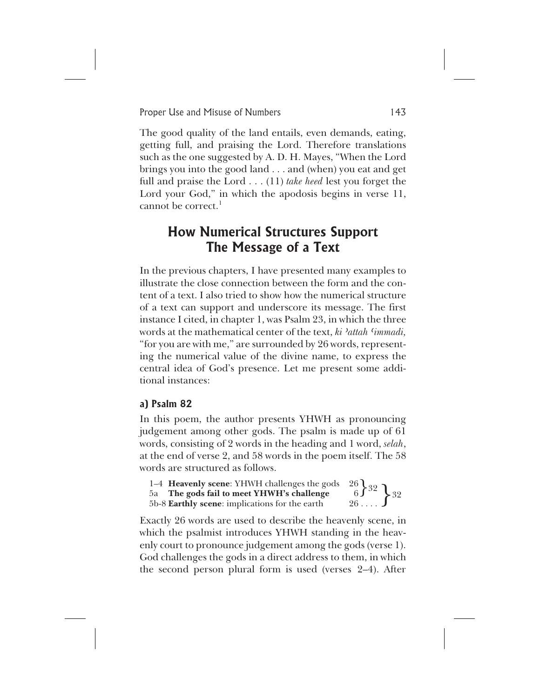The good quality of the land entails, even demands, eating, getting full, and praising the Lord. Therefore translations such as the one suggested by A. D. H. Mayes, "When the Lord brings you into the good land . . . and (when) you eat and get full and praise the Lord . . . (11) *take heed* lest you forget the Lord your God," in which the apodosis begins in verse 11, cannot be correct. $<sup>1</sup>$ </sup>

### **How Numerical Structures Support The Message of a Text**

In the previous chapters, I have presented many examples to illustrate the close connection between the form and the content of a text. I also tried to show how the numerical structure of a text can support and underscore its message. The first instance I cited, in chapter 1, was Psalm 23, in which the three words at the mathematical center of the text, *ki attah 'immadi*, "for you are with me," are surrounded by 26 words, representing the numerical value of the divine name, to express the central idea of God's presence. Let me present some additional instances:

#### **a) Psalm 82**

In this poem, the author presents YHWH as pronouncing judgement among other gods. The psalm is made up of 61 words, consisting of 2 words in the heading and 1 word, *selah*, at the end of verse 2, and 58 words in the poem itself. The 58 words are structured as follows.

```
1–4 Heavenly scene: YHWH challenges the gods<br>5a The gods fail to meet YHWH's challenge
5b-8 Earthly scene: implications for the earth
```
 $\begin{array}{c} 26 \\ 6 \end{array}$  } 32 } 32

Exactly 26 words are used to describe the heavenly scene, in which the psalmist introduces YHWH standing in the heavenly court to pronounce judgement among the gods (verse 1). God challenges the gods in a direct address to them, in which the second person plural form is used (verses 2–4). After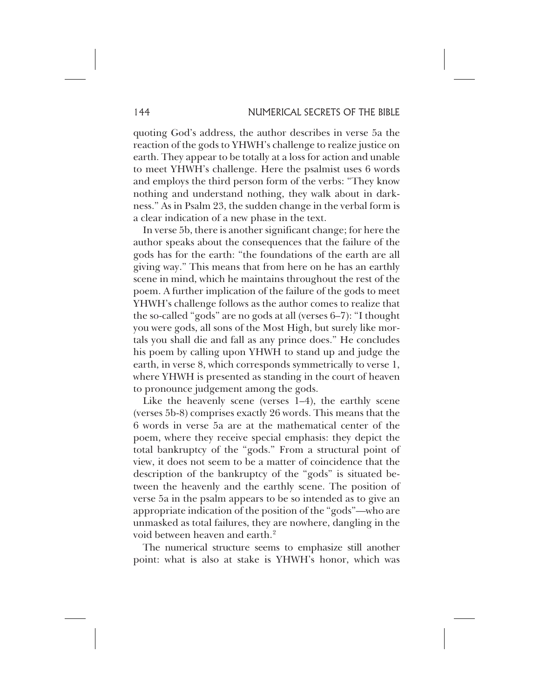quoting God's address, the author describes in verse 5a the reaction of the gods to YHWH's challenge to realize justice on earth. They appear to be totally at a loss for action and unable to meet YHWH's challenge. Here the psalmist uses 6 words and employs the third person form of the verbs: "They know nothing and understand nothing, they walk about in darkness." As in Psalm 23, the sudden change in the verbal form is a clear indication of a new phase in the text.

In verse 5b, there is another significant change; for here the author speaks about the consequences that the failure of the gods has for the earth: "the foundations of the earth are all giving way." This means that from here on he has an earthly scene in mind, which he maintains throughout the rest of the poem. A further implication of the failure of the gods to meet YHWH's challenge follows as the author comes to realize that the so-called "gods" are no gods at all (verses 6–7): "I thought you were gods, all sons of the Most High, but surely like mortals you shall die and fall as any prince does." He concludes his poem by calling upon YHWH to stand up and judge the earth, in verse 8, which corresponds symmetrically to verse 1, where YHWH is presented as standing in the court of heaven to pronounce judgement among the gods.

Like the heavenly scene (verses 1–4), the earthly scene (verses 5b-8) comprises exactly 26 words. This means that the 6 words in verse 5a are at the mathematical center of the poem, where they receive special emphasis: they depict the total bankruptcy of the "gods." From a structural point of view, it does not seem to be a matter of coincidence that the description of the bankruptcy of the "gods" is situated between the heavenly and the earthly scene. The position of verse 5a in the psalm appears to be so intended as to give an appropriate indication of the position of the "gods"—who are unmasked as total failures, they are nowhere, dangling in the void between heaven and earth.<sup>2</sup>

The numerical structure seems to emphasize still another point: what is also at stake is YHWH's honor, which was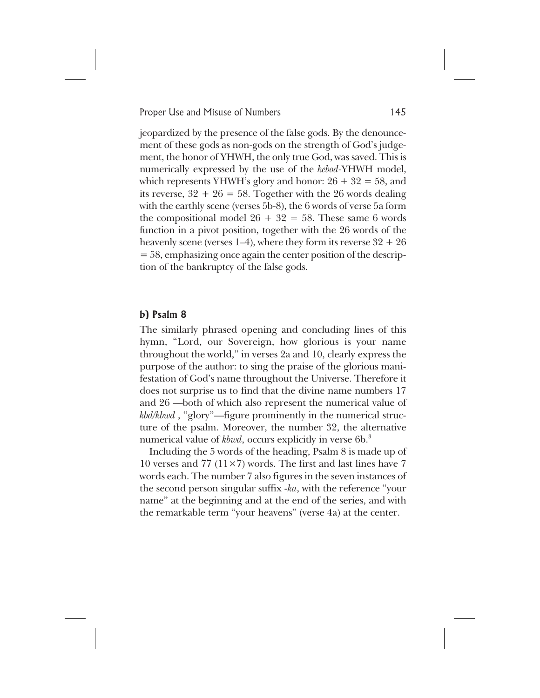jeopardized by the presence of the false gods. By the denouncement of these gods as non-gods on the strength of God's judgement, the honor of YHWH, the only true God, was saved. This is numerically expressed by the use of the *kebod*-YHWH model, which represents YHWH's glory and honor:  $26 + 32 = 58$ , and its reverse,  $32 + 26 = 58$ . Together with the 26 words dealing with the earthly scene (verses 5b-8), the 6 words of verse 5a form the compositional model  $26 + 32 = 58$ . These same 6 words function in a pivot position, together with the 26 words of the heavenly scene (verses  $1-4$ ), where they form its reverse  $32 + 26$ = 58, emphasizing once again the center position of the description of the bankruptcy of the false gods.

#### **b) Psalm 8**

The similarly phrased opening and concluding lines of this hymn, "Lord, our Sovereign, how glorious is your name throughout the world," in verses 2a and 10, clearly express the purpose of the author: to sing the praise of the glorious manifestation of God's name throughout the Universe. Therefore it does not surprise us to find that the divine name numbers 17 and 26 —both of which also represent the numerical value of *kbd/kbwd* , "glory"—figure prominently in the numerical structure of the psalm. Moreover, the number 32, the alternative numerical value of *kbwd*, occurs explicitly in verse 6b.<sup>3</sup>

Including the 5 words of the heading, Psalm 8 is made up of 10 verses and 77 ( $11\times7$ ) words. The first and last lines have 7 words each. The number 7 also figures in the seven instances of the second person singular suffix *-ka*, with the reference "your name" at the beginning and at the end of the series, and with the remarkable term "your heavens" (verse 4a) at the center.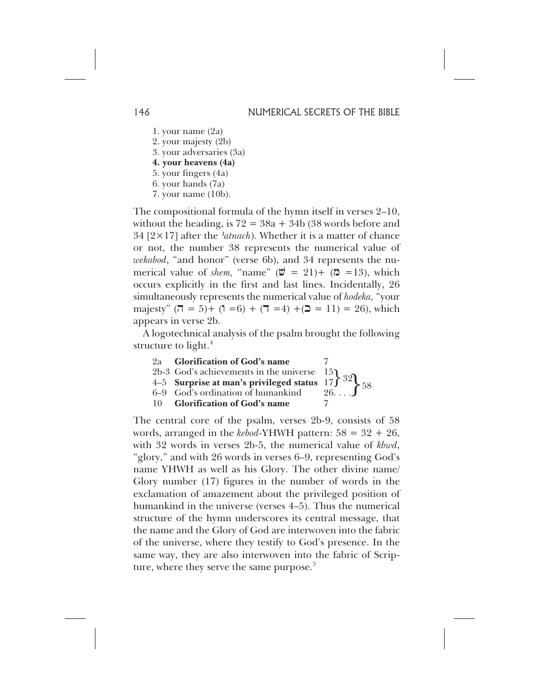1. your name (2a) 2. your majesty (2b) 3. your adversaries (3a) **4. your heavens (4a)** 5. your fingers (4a) 6. your hands (7a) 7. your name (10b).

The compositional formula of the hymn itself in verses 2–10, without the heading, is  $72 = 38a + 34b$  (38 words before and 34  $[2 \times 17]$  after the *'atnach*). Whether it is a matter of chance or not, the number 38 represents the numerical value of *wekabod*, "and honor" (verse 6b), and 34 represents the numerical value of *shem*, "name" ( $\ddot{\mathbf{w}} = 21$ )+ ( $\dot{\mathbf{p}} = 13$ ), which occurs explicitly in the first and last lines. Incidentally, 26 simultaneously represents the numerical value of *hodeka,* "your majesty"  $(\Box \Box = 5) + (1 \Box = 6) + (\Box \Box = 4) + (\Box \Box = 11) = 26)$ , which appears in verse 2b.

A logotechnical analysis of the psalm brought the following structure to light. $4$ 

| 2a Glorification of God's name                                                                                   |  |
|------------------------------------------------------------------------------------------------------------------|--|
| 2b-3 God's achievements in the universe $15$ 32<br>4-5 <b>Surprise at man's privileged status</b> $17$ $32$ $58$ |  |
|                                                                                                                  |  |
| 6–9 God's ordination of humankind $26$                                                                           |  |
| 10 Glorification of God's name                                                                                   |  |
|                                                                                                                  |  |

The central core of the psalm, verses 2b-9, consists of 58 words, arranged in the *kebod*-YHWH pattern: 58 = 32 + 26, with 32 words in verses 2b-5, the numerical value of *kbwd*, "glory," and with 26 words in verses 6–9, representing God's name YHWH as well as his Glory. The other divine name/ Glory number (17) figures in the number of words in the exclamation of amazement about the privileged position of humankind in the universe (verses 4–5). Thus the numerical structure of the hymn underscores its central message, that the name and the Glory of God are interwoven into the fabric of the universe, where they testify to God's presence. In the same way, they are also interwoven into the fabric of Scripture, where they serve the same purpose.<sup>5</sup>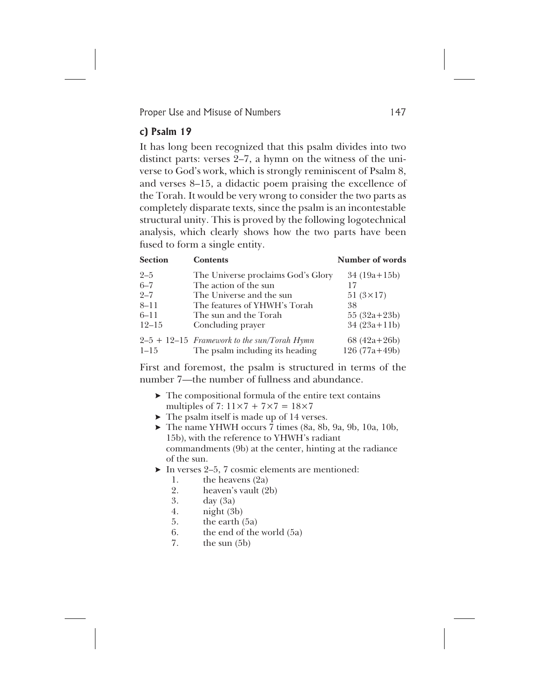### **c) Psalm 19**

It has long been recognized that this psalm divides into two distinct parts: verses 2–7, a hymn on the witness of the universe to God's work, which is strongly reminiscent of Psalm 8, and verses 8–15, a didactic poem praising the excellence of the Torah. It would be very wrong to consider the two parts as completely disparate texts, since the psalm is an incontestable structural unity. This is proved by the following logotechnical analysis, which clearly shows how the two parts have been fused to form a single entity.

| <b>Section</b> | <b>Contents</b>                               | Number of words    |
|----------------|-----------------------------------------------|--------------------|
| $2 - 5$        | The Universe proclaims God's Glory            | $34(19a+15b)$      |
| $6 - 7$        | The action of the sun                         | 17                 |
| $2 - 7$        | The Universe and the sun                      | 51 $(3 \times 17)$ |
| $8 - 11$       | The features of YHWH's Torah                  | 38                 |
| $6 - 11$       | The sun and the Torah                         | 55 $(32a+23b)$     |
| $12 - 15$      | Concluding prayer                             | $34(23a+11b)$      |
|                | $2-5 + 12-15$ Framework to the sun/Torah Hymn | $68(42a+26b)$      |
| $1 - 15$       | The psalm including its heading               | $126(77a+49b)$     |

First and foremost, the psalm is structured in terms of the number 7—the number of fullness and abundance.

- $\blacktriangleright$  The compositional formula of the entire text contains multiples of 7:  $11\times7 + 7\times7 = 18\times7$
- $\blacktriangleright$  The psalm itself is made up of 14 verses.
- $\blacktriangleright$  The name YHWH occurs 7 times (8a, 8b, 9a, 9b, 10a, 10b, 15b), with the reference to YHWH's radiant commandments (9b) at the center, hinting at the radiance of the sun.
- $\blacktriangleright$  In verses 2–5, 7 cosmic elements are mentioned:
	- 1. the heavens (2a)
	- 2. heaven's vault (2b)
	- 3. day (3a)
	- 4. night (3b)
	- 5. the earth (5a)
	- 6. the end of the world (5a)
	- 7. the sun (5b)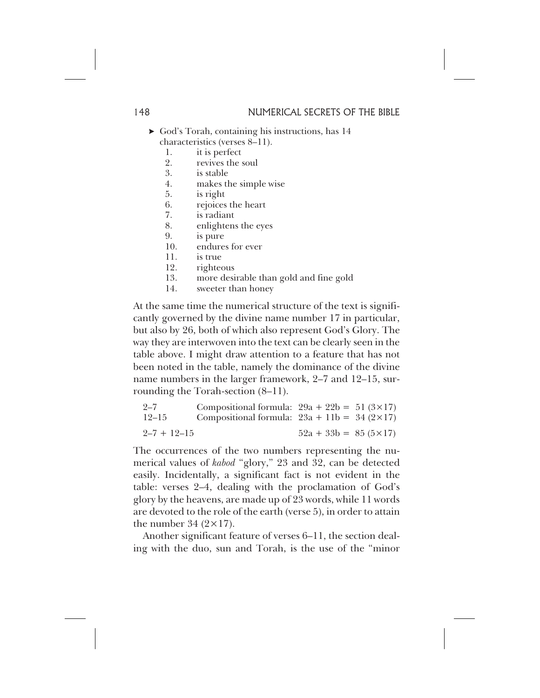- God's Torah, containing his instructions, has 14 characteristics (verses 8–11).
	- 1. it is perfect
	- 2. revives the soul
	- 3. is stable
	- 4. makes the simple wise
	- 5. is right
	- 6. rejoices the heart
	- 7. is radiant
	- 8. enlightens the eyes
	- 9. is pure
	- 10. endures for ever
	- 11. is true
	- 12. righteous
	- 13. more desirable than gold and fine gold
	- 14. sweeter than honey

At the same time the numerical structure of the text is significantly governed by the divine name number 17 in particular, but also by 26, both of which also represent God's Glory. The way they are interwoven into the text can be clearly seen in the table above. I might draw attention to a feature that has not been noted in the table, namely the dominance of the divine name numbers in the larger framework, 2–7 and 12–15, surrounding the Torah-section (8–11).

| $2 - 7$           | Compositional formula: $29a + 22b = 51 (3 \times 17)$ |                               |  |
|-------------------|-------------------------------------------------------|-------------------------------|--|
| $12 - 15$         | Compositional formula: $23a + 11b = 34 (2 \times 17)$ |                               |  |
| $2 - 7 + 12 - 15$ |                                                       | $52a + 33b = 85(5 \times 17)$ |  |

The occurrences of the two numbers representing the numerical values of *kabod* "glory," 23 and 32, can be detected easily. Incidentally, a significant fact is not evident in the table: verses 2–4, dealing with the proclamation of God's glory by the heavens, are made up of 23 words, while 11 words are devoted to the role of the earth (verse 5), in order to attain the number 34  $(2 \times 17)$ .

Another significant feature of verses 6–11, the section dealing with the duo, sun and Torah, is the use of the "minor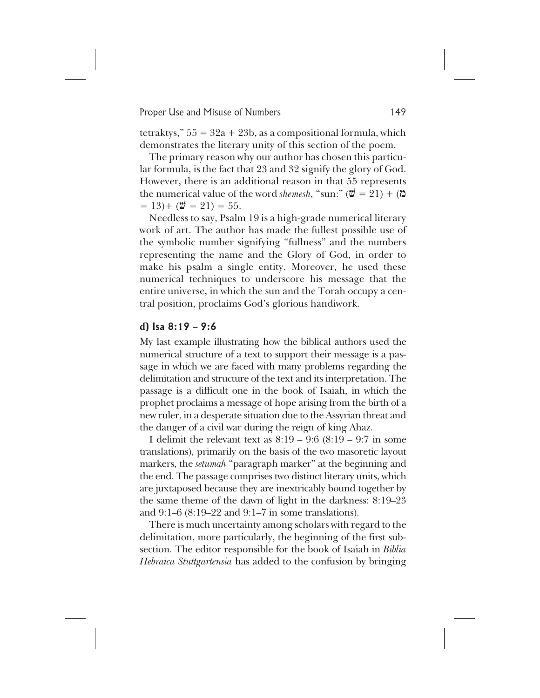tetraktys,"  $55 = 32a + 23b$ , as a compositional formula, which demonstrates the literary unity of this section of the poem.

The primary reason why our author has chosen this particular formula, is the fact that 23 and 32 signify the glory of God. However, there is an additional reason in that 55 represents the numerical value of the word *shemesh*, "sun:" ( $\ddot{w} = 21$ ) + ( $\ddot{\rho}$ )  $= 13$ ) + ( $\ddot{w} = 21$ ) = 55.

Needless to say, Psalm 19 is a high-grade numerical literary work of art. The author has made the fullest possible use of the symbolic number signifying "fullness" and the numbers representing the name and the Glory of God, in order to make his psalm a single entity. Moreover, he used these numerical techniques to underscore his message that the entire universe, in which the sun and the Torah occupy a central position, proclaims God's glorious handiwork.

#### **d) Isa 8:19 – 9:6**

My last example illustrating how the biblical authors used the numerical structure of a text to support their message is a passage in which we are faced with many problems regarding the delimitation and structure of the text and its interpretation. The passage is a difficult one in the book of Isaiah, in which the prophet proclaims a message of hope arising from the birth of a new ruler, in a desperate situation due to the Assyrian threat and the danger of a civil war during the reign of king Ahaz.

I delimit the relevant text as  $8:19 - 9:6$   $(8:19 - 9:7)$  in some translations), primarily on the basis of the two masoretic layout markers, the *setumah* "paragraph marker" at the beginning and the end. The passage comprises two distinct literary units, which are juxtaposed because they are inextricably bound together by the same theme of the dawn of light in the darkness: 8:19–23 and 9:1–6 (8:19–22 and 9:1–7 in some translations).

There is much uncertainty among scholars with regard to the delimitation, more particularly, the beginning of the first subsection. The editor responsible for the book of Isaiah in *Biblia Hebraica Stuttgartensia* has added to the confusion by bringing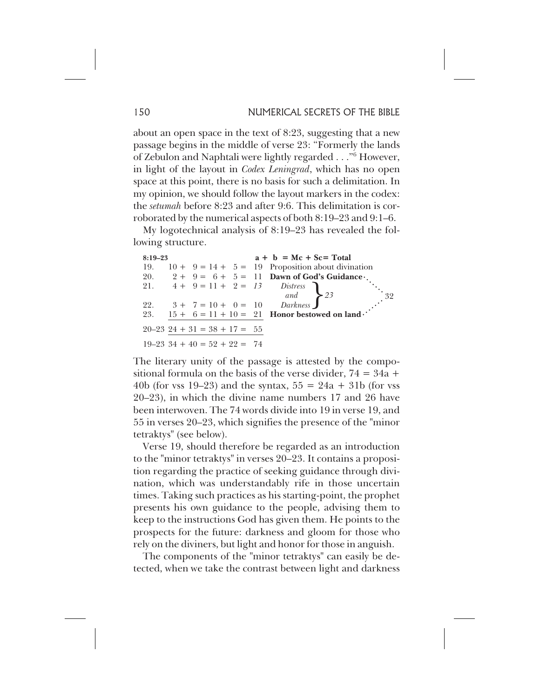about an open space in the text of 8:23, suggesting that a new passage begins in the middle of verse 23: "Formerly the lands of Zebulon and Naphtali were lightly regarded . . ."6 However, in light of the layout in *Codex Leningrad*, which has no open space at this point, there is no basis for such a delimitation. In my opinion, we should follow the layout markers in the codex: the *setumah* before 8:23 and after 9:6. This delimitation is corroborated by the numerical aspects of both 8:19–23 and 9:1–6.

My logotechnical analysis of 8:19–23 has revealed the following structure.

| $8:19-23$ |  |                                |  | $a + b = Mc + Sc = Total$ |                                                                                |  |
|-----------|--|--------------------------------|--|---------------------------|--------------------------------------------------------------------------------|--|
|           |  |                                |  |                           | 19. $10 + 9 = 14 + 5 = 19$ Proposition about divination                        |  |
|           |  |                                |  |                           | 20. $2 + 9 = 6 + 5 = 11$ Dawn of God's Guidance.                               |  |
|           |  |                                |  |                           | 21. $4 + 9 = 11 + 2 = 13$ Distress and 22. $3 + 7 = 10 + 0 = 10$ Darkness $23$ |  |
|           |  |                                |  |                           | 32                                                                             |  |
|           |  |                                |  |                           |                                                                                |  |
|           |  |                                |  |                           | 23. $15 + 6 = 11 + 10 = 21$ Honor bestowed on land.                            |  |
|           |  | $20-23$ 24 + 31 = 38 + 17 = 55 |  |                           |                                                                                |  |
|           |  | $19-23$ 34 + 40 = 52 + 22 = 74 |  |                           |                                                                                |  |

The literary unity of the passage is attested by the compositional formula on the basis of the verse divider,  $74 = 34a +$ 40b (for vss 19–23) and the syntax,  $55 = 24a + 31b$  (for vss 20–23), in which the divine name numbers 17 and 26 have been interwoven. The 74 words divide into 19 in verse 19, and 55 in verses 20–23, which signifies the presence of the "minor tetraktys" (see below).

Verse 19, should therefore be regarded as an introduction to the "minor tetraktys" in verses 20–23. It contains a proposition regarding the practice of seeking guidance through divination, which was understandably rife in those uncertain times. Taking such practices as his starting-point, the prophet presents his own guidance to the people, advising them to keep to the instructions God has given them. He points to the prospects for the future: darkness and gloom for those who rely on the diviners, but light and honor for those in anguish.

The components of the "minor tetraktys" can easily be detected, when we take the contrast between light and darkness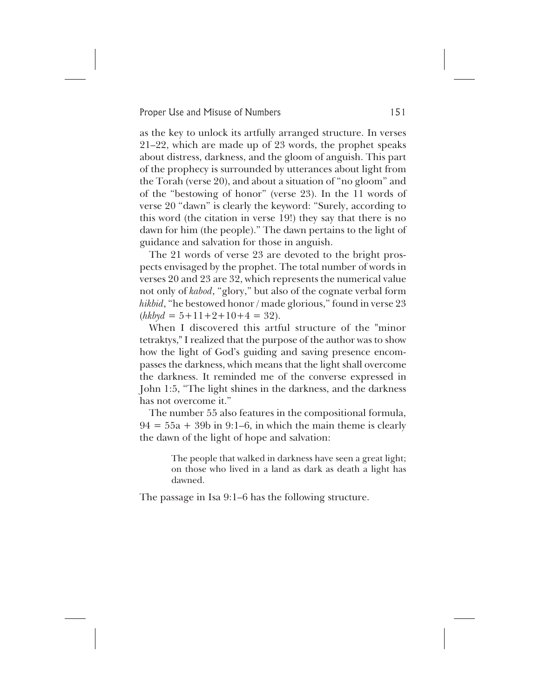as the key to unlock its artfully arranged structure. In verses 21–22, which are made up of 23 words, the prophet speaks about distress, darkness, and the gloom of anguish. This part of the prophecy is surrounded by utterances about light from the Torah (verse 20), and about a situation of "no gloom" and of the "bestowing of honor" (verse 23). In the 11 words of verse 20 "dawn" is clearly the keyword: "Surely, according to this word (the citation in verse 19!) they say that there is no dawn for him (the people)." The dawn pertains to the light of guidance and salvation for those in anguish.

The 21 words of verse 23 are devoted to the bright prospects envisaged by the prophet. The total number of words in verses 20 and 23 are 32, which represents the numerical value not only of *kabod*, "glory," but also of the cognate verbal form *hikbid*, "he bestowed honor / made glorious," found in verse 23  $(hkbyd = 5+11+2+10+4 = 32).$ 

When I discovered this artful structure of the "minor tetraktys," I realized that the purpose of the author was to show how the light of God's guiding and saving presence encompasses the darkness, which means that the light shall overcome the darkness. It reminded me of the converse expressed in John 1:5, "The light shines in the darkness, and the darkness has not overcome it."

The number 55 also features in the compositional formula,  $94 = 55a + 39b$  in 9:1–6, in which the main theme is clearly the dawn of the light of hope and salvation:

> The people that walked in darkness have seen a great light; on those who lived in a land as dark as death a light has dawned.

The passage in Isa 9:1–6 has the following structure.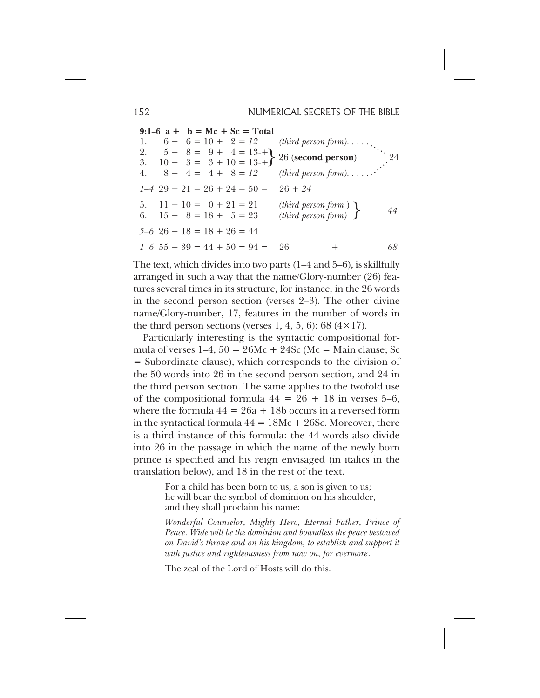| 9:1-6 $a + b = Mc + Sc = Total$ |                                |  |  |  |                                   |                                |    |
|---------------------------------|--------------------------------|--|--|--|-----------------------------------|--------------------------------|----|
| 1.                              | $6 + 6 = 10 + 2 = 12$          |  |  |  |                                   | (third person form). $\dots$ . |    |
|                                 |                                |  |  |  | 2. $5+8=9+4=13-1$                 | 26 (second person)             | 24 |
|                                 |                                |  |  |  | 3. $10 + 3 = 3 + 10 = 13 - 15$    |                                |    |
| 4.                              | $8 + 4 = 4 + 8 = 12$           |  |  |  |                                   | (third person form). $\dots$   |    |
|                                 | $1-4$ 29 + 21 = 26 + 24 = 50 = |  |  |  |                                   | $26 + 24$                      |    |
|                                 | 5. $11 + 10 = 0 + 21 = 21$     |  |  |  |                                   |                                |    |
|                                 | 6. $15 + 8 = 18 + 5 = 23$      |  |  |  |                                   | (third person form) $\}$       | 44 |
|                                 | $5-6$ 26 + 18 = 18 + 26 = 44   |  |  |  |                                   |                                |    |
|                                 |                                |  |  |  | $1-6$ 55 + 39 = 44 + 50 = 94 = 26 | ┿                              | 68 |

The text, which divides into two parts (1–4 and 5–6), is skillfully arranged in such a way that the name/Glory-number (26) features several times in its structure, for instance, in the 26 words in the second person section (verses 2–3). The other divine name/Glory-number, 17, features in the number of words in the third person sections (verses 1, 4, 5, 6): 68  $(4 \times 17)$ .

Particularly interesting is the syntactic compositional formula of verses  $1-4$ ,  $50 = 26$ Mc +  $24$ Sc (Mc = Main clause; Sc = Subordinate clause), which corresponds to the division of the 50 words into 26 in the second person section, and 24 in the third person section. The same applies to the twofold use of the compositional formula  $44 = 26 + 18$  in verses 5–6, where the formula  $44 = 26a + 18b$  occurs in a reversed form in the syntactical formula  $44 = 18$ Mc + 26Sc. Moreover, there is a third instance of this formula: the 44 words also divide into 26 in the passage in which the name of the newly born prince is specified and his reign envisaged (in italics in the translation below), and 18 in the rest of the text.

> For a child has been born to us, a son is given to us; he will bear the symbol of dominion on his shoulder, and they shall proclaim his name:

*Wonderful Counselor, Mighty Hero, Eternal Father, Prince of Peace. Wide will be the dominion and boundless the peace bestowed on David's throne and on his kingdom, to establish and support it with justice and righteousness from now on, for evermore*.

The zeal of the Lord of Hosts will do this.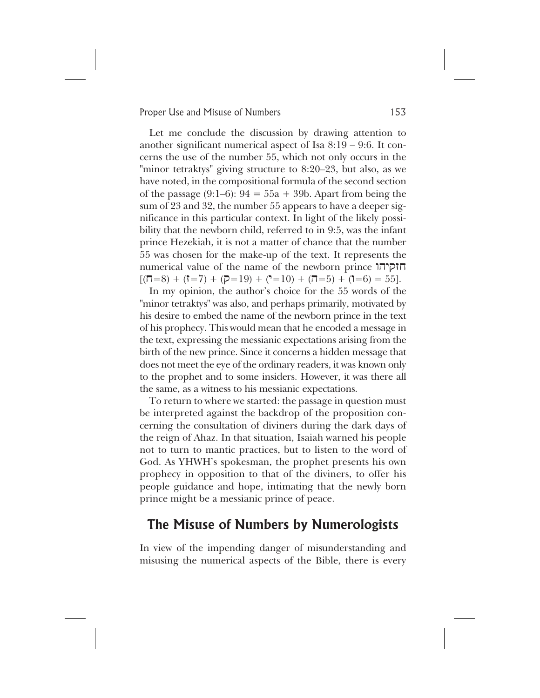Let me conclude the discussion by drawing attention to another significant numerical aspect of Isa 8:19 – 9:6. It concerns the use of the number 55, which not only occurs in the "minor tetraktys" giving structure to 8:20–23, but also, as we have noted, in the compositional formula of the second section of the passage  $(9:1-6)$ :  $94 = 55a + 39b$ . Apart from being the sum of 23 and 32, the number 55 appears to have a deeper significance in this particular context. In light of the likely possibility that the newborn child, referred to in 9:5, was the infant prince Hezekiah, it is not a matter of chance that the number 55 was chosen for the make-up of the text. It represents the numerical value of the name of the newborn prince **VHYQZ+**  $[(\Pi=8) + (\dagger=7) + (\dagger=19) + (\dagger=10) + (\dagger=5) + (\dagger=6) = 55].$ 

In my opinion, the author's choice for the 55 words of the "minor tetraktys" was also, and perhaps primarily, motivated by his desire to embed the name of the newborn prince in the text of his prophecy. This would mean that he encoded a message in the text, expressing the messianic expectations arising from the birth of the new prince. Since it concerns a hidden message that does not meet the eye of the ordinary readers, it was known only to the prophet and to some insiders. However, it was there all the same, as a witness to his messianic expectations.

To return to where we started: the passage in question must be interpreted against the backdrop of the proposition concerning the consultation of diviners during the dark days of the reign of Ahaz. In that situation, Isaiah warned his people not to turn to mantic practices, but to listen to the word of God. As YHWH's spokesman, the prophet presents his own prophecy in opposition to that of the diviners, to offer his people guidance and hope, intimating that the newly born prince might be a messianic prince of peace.

### **The Misuse of Numbers by Numerologists**

In view of the impending danger of misunderstanding and misusing the numerical aspects of the Bible, there is every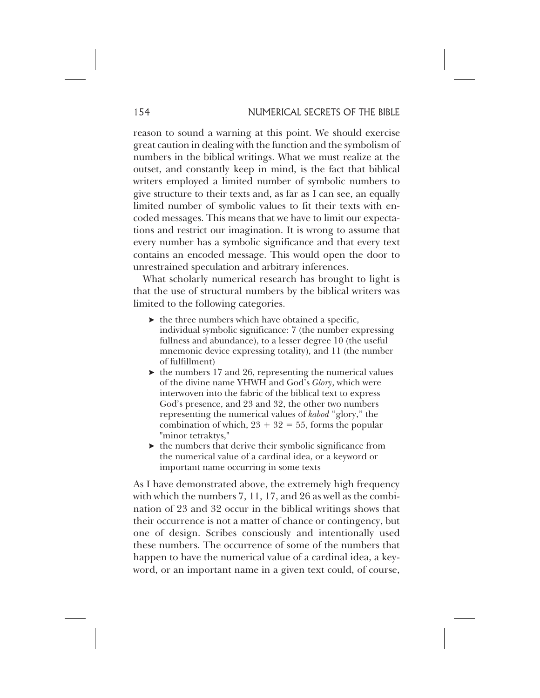reason to sound a warning at this point. We should exercise great caution in dealing with the function and the symbolism of numbers in the biblical writings. What we must realize at the outset, and constantly keep in mind, is the fact that biblical writers employed a limited number of symbolic numbers to give structure to their texts and, as far as I can see, an equally limited number of symbolic values to fit their texts with encoded messages. This means that we have to limit our expectations and restrict our imagination. It is wrong to assume that every number has a symbolic significance and that every text contains an encoded message. This would open the door to unrestrained speculation and arbitrary inferences.

What scholarly numerical research has brought to light is that the use of structural numbers by the biblical writers was limited to the following categories.

- $\blacktriangleright$  the three numbers which have obtained a specific, individual symbolic significance: 7 (the number expressing fullness and abundance), to a lesser degree 10 (the useful mnemonic device expressing totality), and 11 (the number of fulfillment)
- $\blacktriangleright$  the numbers 17 and 26, representing the numerical values of the divine name YHWH and God's *Glory*, which were interwoven into the fabric of the biblical text to express God's presence, and 23 and 32, the other two numbers representing the numerical values of *kabod* "glory," the combination of which,  $23 + 32 = 55$ , forms the popular "minor tetraktys,"
- $\blacktriangleright$  the numbers that derive their symbolic significance from the numerical value of a cardinal idea, or a keyword or important name occurring in some texts

As I have demonstrated above, the extremely high frequency with which the numbers 7, 11, 17, and 26 as well as the combination of 23 and 32 occur in the biblical writings shows that their occurrence is not a matter of chance or contingency, but one of design. Scribes consciously and intentionally used these numbers. The occurrence of some of the numbers that happen to have the numerical value of a cardinal idea, a keyword, or an important name in a given text could, of course,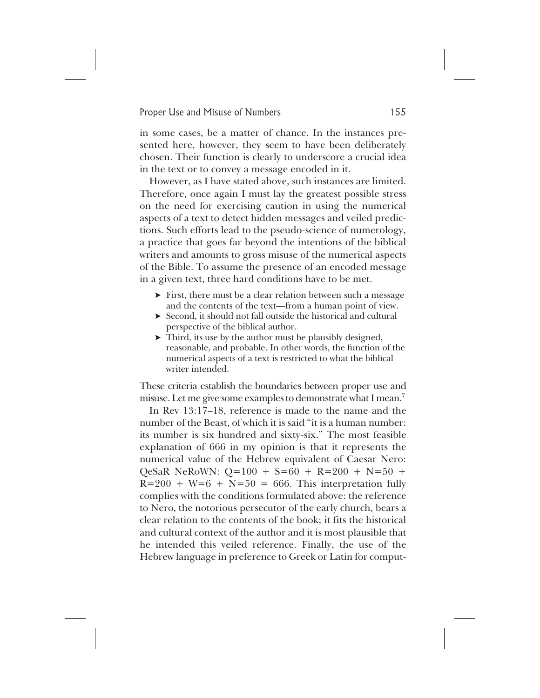in some cases, be a matter of chance. In the instances presented here, however, they seem to have been deliberately chosen. Their function is clearly to underscore a crucial idea in the text or to convey a message encoded in it.

However, as I have stated above, such instances are limited. Therefore, once again I must lay the greatest possible stress on the need for exercising caution in using the numerical aspects of a text to detect hidden messages and veiled predictions. Such efforts lead to the pseudo-science of numerology, a practice that goes far beyond the intentions of the biblical writers and amounts to gross misuse of the numerical aspects of the Bible. To assume the presence of an encoded message in a given text, three hard conditions have to be met.

- First, there must be a clear relation between such a message and the contents of the text—from a human point of view.
- Second, it should not fall outside the historical and cultural perspective of the biblical author.
- Third, its use by the author must be plausibly designed, reasonable, and probable. In other words, the function of the numerical aspects of a text is restricted to what the biblical writer intended.

These criteria establish the boundaries between proper use and misuse. Let me give some examples to demonstrate what I mean.<sup>7</sup>

In Rev 13:17–18, reference is made to the name and the number of the Beast, of which it is said "it is a human number: its number is six hundred and sixty-six." The most feasible explanation of 666 in my opinion is that it represents the numerical value of the Hebrew equivalent of Caesar Nero: QeSaR NeRoWN:  $Q=100 + S=60 + R=200 + N=50 +$  $R=200 + W=6 + N=50 = 666$ . This interpretation fully complies with the conditions formulated above: the reference to Nero, the notorious persecutor of the early church, bears a clear relation to the contents of the book; it fits the historical and cultural context of the author and it is most plausible that he intended this veiled reference. Finally, the use of the Hebrew language in preference to Greek or Latin for comput-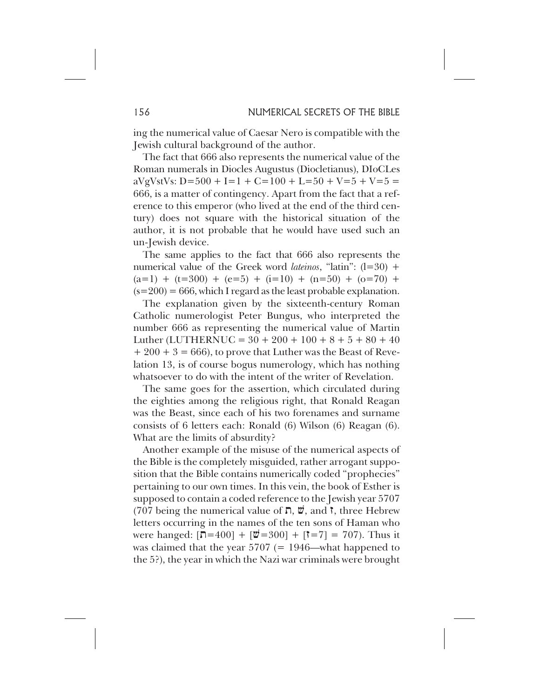ing the numerical value of Caesar Nero is compatible with the Jewish cultural background of the author.

The fact that 666 also represents the numerical value of the Roman numerals in Diocles Augustus (Diocletianus), DIoCLes  $aVgVstVs: D=500 + I=1 + C=100 + L=50 + V=5 + V=5 =$ 666, is a matter of contingency. Apart from the fact that a reference to this emperor (who lived at the end of the third century) does not square with the historical situation of the author, it is not probable that he would have used such an un-Jewish device.

The same applies to the fact that 666 also represents the numerical value of the Greek word *lateinos*, "latin": (1=30) +  $(a=1) + (t=300) + (e=5) + (i=10) + (n=50) + (o=70) +$  $(s=200) = 666$ , which I regard as the least probable explanation.

The explanation given by the sixteenth-century Roman Catholic numerologist Peter Bungus, who interpreted the number 666 as representing the numerical value of Martin Luther (LUTHERNUC =  $30 + 200 + 100 + 8 + 5 + 80 + 40$  $+ 200 + 3 = 666$ , to prove that Luther was the Beast of Revelation 13, is of course bogus numerology, which has nothing whatsoever to do with the intent of the writer of Revelation.

The same goes for the assertion, which circulated during the eighties among the religious right, that Ronald Reagan was the Beast, since each of his two forenames and surname consists of 6 letters each: Ronald (6) Wilson (6) Reagan (6). What are the limits of absurdity?

Another example of the misuse of the numerical aspects of the Bible is the completely misguided, rather arrogant supposition that the Bible contains numerically coded "prophecies" pertaining to our own times. In this vein, the book of Esther is supposed to contain a coded reference to the Jewish year 5707 (707 being the numerical value of  $\Pi$ ,  $\Psi$ , and  $\Pi$ , three Hebrew letters occurring in the names of the ten sons of Haman who were hanged:  $[\mathbf{\Pi} = 400] + [\mathbf{\mathcal{W}} = 300] + [\mathbf{\dagger} = 7] = 707$ . Thus it was claimed that the year  $5707$  (= 1946—what happened to the 5?), the year in which the Nazi war criminals were brought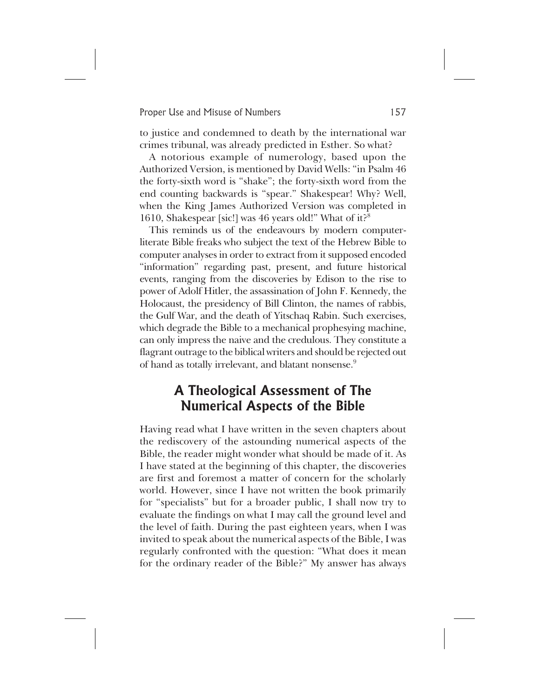to justice and condemned to death by the international war crimes tribunal, was already predicted in Esther. So what?

A notorious example of numerology, based upon the Authorized Version, is mentioned by David Wells: "in Psalm 46 the forty-sixth word is "shake"; the forty-sixth word from the end counting backwards is "spear." Shakespear! Why? Well, when the King James Authorized Version was completed in 1610, Shakespear [sic!] was 46 years old!" What of it?8

This reminds us of the endeavours by modern computerliterate Bible freaks who subject the text of the Hebrew Bible to computer analyses in order to extract from it supposed encoded "information" regarding past, present, and future historical events, ranging from the discoveries by Edison to the rise to power of Adolf Hitler, the assassination of John F. Kennedy, the Holocaust, the presidency of Bill Clinton, the names of rabbis, the Gulf War, and the death of Yitschaq Rabin. Such exercises, which degrade the Bible to a mechanical prophesying machine, can only impress the naive and the credulous. They constitute a flagrant outrage to the biblical writers and should be rejected out of hand as totally irrelevant, and blatant nonsense.<sup>9</sup>

## **A Theological Assessment of The Numerical Aspects of the Bible**

Having read what I have written in the seven chapters about the rediscovery of the astounding numerical aspects of the Bible, the reader might wonder what should be made of it. As I have stated at the beginning of this chapter, the discoveries are first and foremost a matter of concern for the scholarly world. However, since I have not written the book primarily for "specialists" but for a broader public, I shall now try to evaluate the findings on what I may call the ground level and the level of faith. During the past eighteen years, when I was invited to speak about the numerical aspects of the Bible, I was regularly confronted with the question: "What does it mean for the ordinary reader of the Bible?" My answer has always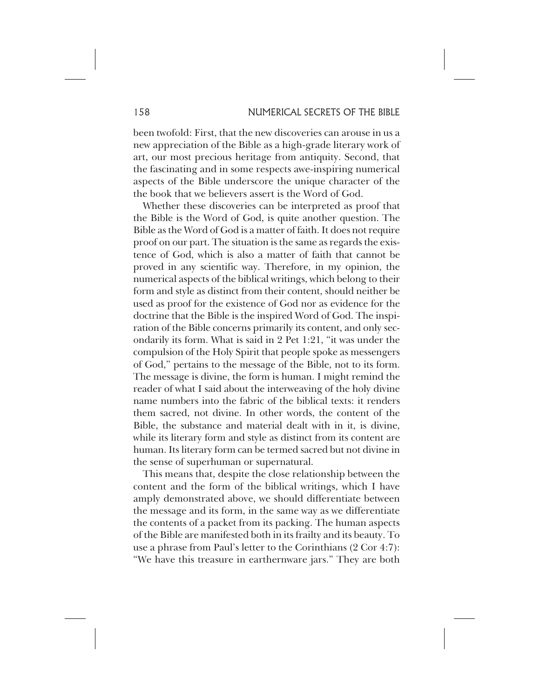been twofold: First, that the new discoveries can arouse in us a new appreciation of the Bible as a high-grade literary work of art, our most precious heritage from antiquity. Second, that the fascinating and in some respects awe-inspiring numerical aspects of the Bible underscore the unique character of the the book that we believers assert is the Word of God.

Whether these discoveries can be interpreted as proof that the Bible is the Word of God, is quite another question. The Bible as the Word of God is a matter of faith. It does not require proof on our part. The situation is the same as regards the existence of God, which is also a matter of faith that cannot be proved in any scientific way. Therefore, in my opinion, the numerical aspects of the biblical writings, which belong to their form and style as distinct from their content, should neither be used as proof for the existence of God nor as evidence for the doctrine that the Bible is the inspired Word of God. The inspiration of the Bible concerns primarily its content, and only secondarily its form. What is said in 2 Pet 1:21, "it was under the compulsion of the Holy Spirit that people spoke as messengers of God," pertains to the message of the Bible, not to its form. The message is divine, the form is human. I might remind the reader of what I said about the interweaving of the holy divine name numbers into the fabric of the biblical texts: it renders them sacred, not divine. In other words, the content of the Bible, the substance and material dealt with in it, is divine, while its literary form and style as distinct from its content are human. Its literary form can be termed sacred but not divine in the sense of superhuman or supernatural.

This means that, despite the close relationship between the content and the form of the biblical writings, which I have amply demonstrated above, we should differentiate between the message and its form, in the same way as we differentiate the contents of a packet from its packing. The human aspects of the Bible are manifested both in its frailty and its beauty. To use a phrase from Paul's letter to the Corinthians (2 Cor 4:7): "We have this treasure in earthernware jars." They are both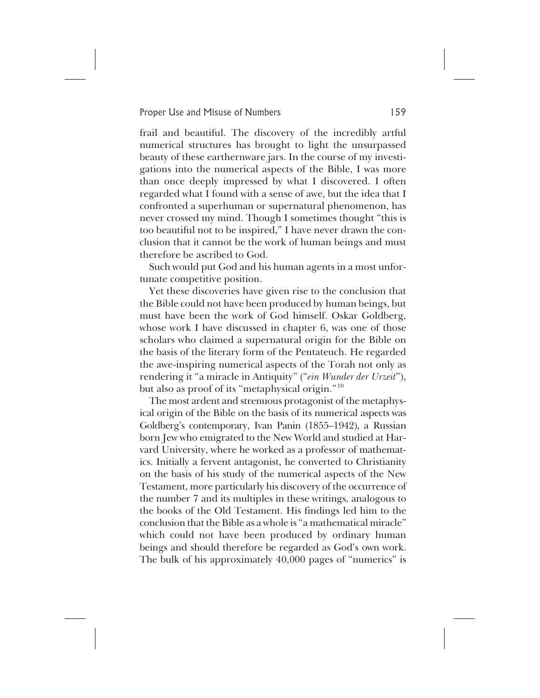frail and beautiful. The discovery of the incredibly artful numerical structures has brought to light the unsurpassed beauty of these earthernware jars. In the course of my investigations into the numerical aspects of the Bible, I was more than once deeply impressed by what I discovered. I often regarded what I found with a sense of awe, but the idea that I confronted a superhuman or supernatural phenomenon, has never crossed my mind. Though I sometimes thought "this is too beautiful not to be inspired," I have never drawn the conclusion that it cannot be the work of human beings and must therefore be ascribed to God.

Such would put God and his human agents in a most unfortunate competitive position.

Yet these discoveries have given rise to the conclusion that the Bible could not have been produced by human beings, but must have been the work of God himself. Oskar Goldberg, whose work I have discussed in chapter 6, was one of those scholars who claimed a supernatural origin for the Bible on the basis of the literary form of the Pentateuch. He regarded the awe-inspiring numerical aspects of the Torah not only as rendering it "a miracle in Antiquity" ("*ein Wunder der Urzeit*"), but also as proof of its "metaphysical origin."<sup>10</sup>

The most ardent and strenuous protagonist of the metaphysical origin of the Bible on the basis of its numerical aspects was Goldberg's contemporary, Ivan Panin (1855–1942), a Russian born Jew who emigrated to the New World and studied at Harvard University, where he worked as a professor of mathematics. Initially a fervent antagonist, he converted to Christianity on the basis of his study of the numerical aspects of the New Testament, more particularly his discovery of the occurrence of the number 7 and its multiples in these writings, analogous to the books of the Old Testament. His findings led him to the conclusion that the Bible as a whole is "a mathematical miracle" which could not have been produced by ordinary human beings and should therefore be regarded as God's own work. The bulk of his approximately 40,000 pages of "numerics" is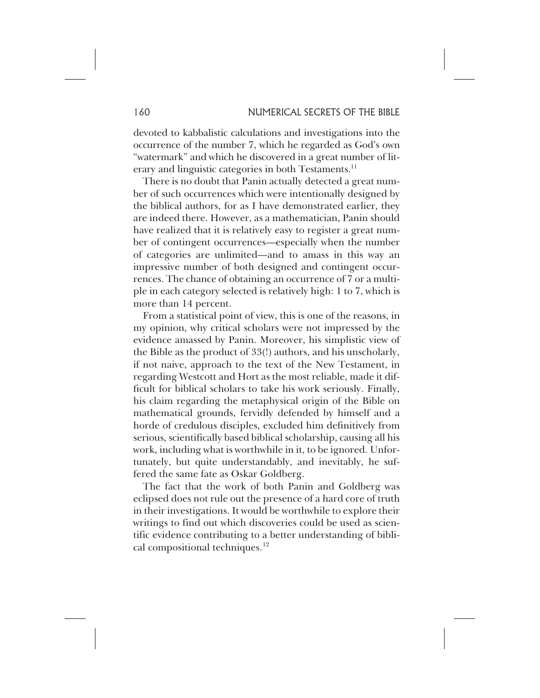devoted to kabbalistic calculations and investigations into the occurrence of the number 7, which he regarded as God's own "watermark" and which he discovered in a great number of literary and linguistic categories in both Testaments.<sup>11</sup>

There is no doubt that Panin actually detected a great number of such occurrences which were intentionally designed by the biblical authors, for as I have demonstrated earlier, they are indeed there. However, as a mathematician, Panin should have realized that it is relatively easy to register a great number of contingent occurrences—especially when the number of categories are unlimited—and to amass in this way an impressive number of both designed and contingent occurrences. The chance of obtaining an occurrence of 7 or a multiple in each category selected is relatively high: 1 to 7, which is more than 14 percent.

From a statistical point of view, this is one of the reasons, in my opinion, why critical scholars were not impressed by the evidence amassed by Panin. Moreover, his simplistic view of the Bible as the product of 33(!) authors, and his unscholarly, if not naive, approach to the text of the New Testament, in regarding Westcott and Hort as the most reliable, made it difficult for biblical scholars to take his work seriously. Finally, his claim regarding the metaphysical origin of the Bible on mathematical grounds, fervidly defended by himself and a horde of credulous disciples, excluded him definitively from serious, scientifically based biblical scholarship, causing all his work, including what is worthwhile in it, to be ignored. Unfortunately, but quite understandably, and inevitably, he suffered the same fate as Oskar Goldberg.

The fact that the work of both Panin and Goldberg was eclipsed does not rule out the presence of a hard core of truth in their investigations. It would be worthwhile to explore their writings to find out which discoveries could be used as scientific evidence contributing to a better understanding of biblical compositional techniques.<sup>12</sup>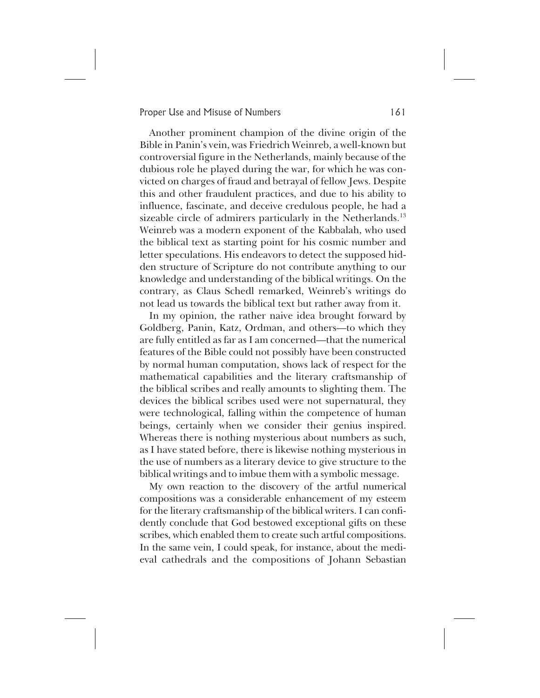Another prominent champion of the divine origin of the Bible in Panin's vein, was Friedrich Weinreb, a well-known but controversial figure in the Netherlands, mainly because of the dubious role he played during the war, for which he was convicted on charges of fraud and betrayal of fellow Jews. Despite this and other fraudulent practices, and due to his ability to influence, fascinate, and deceive credulous people, he had a sizeable circle of admirers particularly in the Netherlands. $13$ Weinreb was a modern exponent of the Kabbalah, who used the biblical text as starting point for his cosmic number and letter speculations. His endeavors to detect the supposed hidden structure of Scripture do not contribute anything to our knowledge and understanding of the biblical writings. On the contrary, as Claus Schedl remarked, Weinreb's writings do not lead us towards the biblical text but rather away from it.

In my opinion, the rather naive idea brought forward by Goldberg, Panin, Katz, Ordman, and others—to which they are fully entitled as far as I am concerned—that the numerical features of the Bible could not possibly have been constructed by normal human computation, shows lack of respect for the mathematical capabilities and the literary craftsmanship of the biblical scribes and really amounts to slighting them. The devices the biblical scribes used were not supernatural, they were technological, falling within the competence of human beings, certainly when we consider their genius inspired. Whereas there is nothing mysterious about numbers as such, as I have stated before, there is likewise nothing mysterious in the use of numbers as a literary device to give structure to the biblical writings and to imbue them with a symbolic message.

My own reaction to the discovery of the artful numerical compositions was a considerable enhancement of my esteem for the literary craftsmanship of the biblical writers. I can confidently conclude that God bestowed exceptional gifts on these scribes, which enabled them to create such artful compositions. In the same vein, I could speak, for instance, about the medieval cathedrals and the compositions of Johann Sebastian